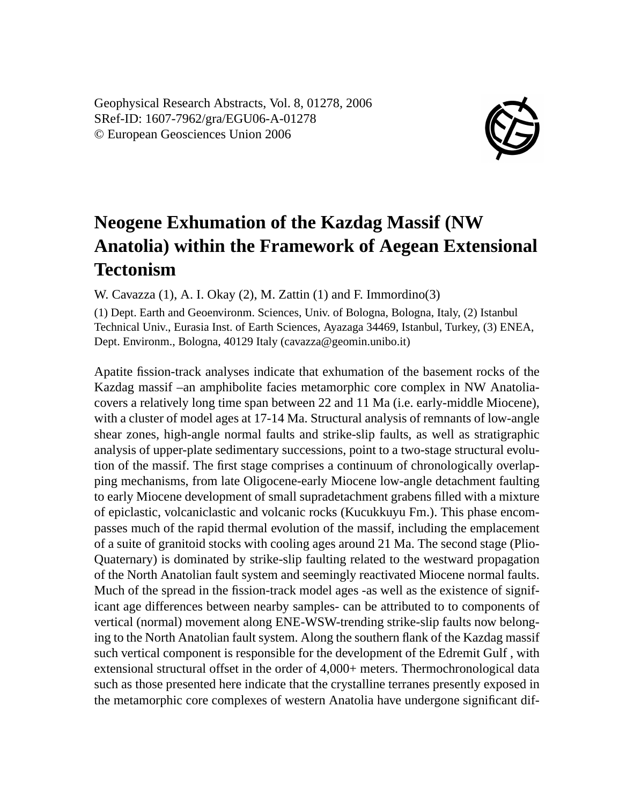Geophysical Research Abstracts, Vol. 8, 01278, 2006 SRef-ID: 1607-7962/gra/EGU06-A-01278 © European Geosciences Union 2006



## **Neogene Exhumation of the Kazdag Massif (NW Anatolia) within the Framework of Aegean Extensional Tectonism**

W. Cavazza (1), A. I. Okay (2), M. Zattin (1) and F. Immordino(3)

(1) Dept. Earth and Geoenvironm. Sciences, Univ. of Bologna, Bologna, Italy, (2) Istanbul Technical Univ., Eurasia Inst. of Earth Sciences, Ayazaga 34469, Istanbul, Turkey, (3) ENEA, Dept. Environm., Bologna, 40129 Italy (cavazza@geomin.unibo.it)

Apatite fission-track analyses indicate that exhumation of the basement rocks of the Kazdag massif –an amphibolite facies metamorphic core complex in NW Anatoliacovers a relatively long time span between 22 and 11 Ma (i.e. early-middle Miocene), with a cluster of model ages at 17-14 Ma. Structural analysis of remnants of low-angle shear zones, high-angle normal faults and strike-slip faults, as well as stratigraphic analysis of upper-plate sedimentary successions, point to a two-stage structural evolution of the massif. The first stage comprises a continuum of chronologically overlapping mechanisms, from late Oligocene-early Miocene low-angle detachment faulting to early Miocene development of small supradetachment grabens filled with a mixture of epiclastic, volcaniclastic and volcanic rocks (Kucukkuyu Fm.). This phase encompasses much of the rapid thermal evolution of the massif, including the emplacement of a suite of granitoid stocks with cooling ages around 21 Ma. The second stage (Plio-Quaternary) is dominated by strike-slip faulting related to the westward propagation of the North Anatolian fault system and seemingly reactivated Miocene normal faults. Much of the spread in the fission-track model ages -as well as the existence of significant age differences between nearby samples- can be attributed to to components of vertical (normal) movement along ENE-WSW-trending strike-slip faults now belonging to the North Anatolian fault system. Along the southern flank of the Kazdag massif such vertical component is responsible for the development of the Edremit Gulf , with extensional structural offset in the order of 4,000+ meters. Thermochronological data such as those presented here indicate that the crystalline terranes presently exposed in the metamorphic core complexes of western Anatolia have undergone significant dif